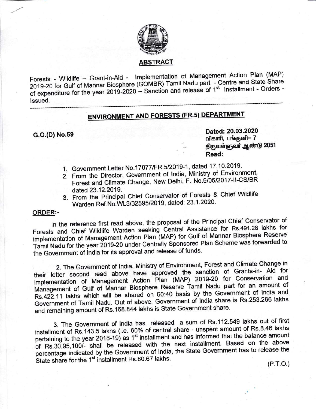

### ABSTRACT

Forests - Wildlife - Grant-in-Aid - Implementation of Management Action Plan (MAP) 2019-20 for Gulf of Mannar Biosphere (GOMBR) Tamil Nadu part - Centre and State Share of expenditure for the year 2019-2020  $-$  Sanction and release of 1<sup>st</sup> Installment - Orders lssued.

# **ENVIRONMENT AND FORESTS (FR.5) DEPARTMENT**

G.O.(D) No.59 Dated: 20.03.2020 விகாரி, பங்குனி— 7 திருவள்ளுவர் <u>ஆண்</u>டு 2051 Read:

- 1. Government Letter No.17077/FR.5/2019-1, dated 17.10.2019.
- 2. From the Director, Government of lndia, Ministry of\_ Environment, Forest and Climate Change, New Delhi, F. No.9/05/2017-II-CS/BR dated 23.12.2019.
- 3. From the Principal Chief Conservator of Forests & Chief Wildlife Warden Ref. No. WL3/32595/2019, dated: 23.1.2020.

#### ORDER:-

ln the reference first read above, the proposal of the Principal chief conservator of Forests and chief wildlife warden seeking central Assistance for Rs.491.28 lakhs for implementation of Management Action Plan (MAP) for Gulf of Mannar Biosphere Reserve Tamil Nadu for the year 2019-20 under Centrally Sponsored Plan Scheme was forwarded to the Government of India for its approval and release of funds.

2. The Government of lndia, Ministry of Environment, Forest and climate change in 2. The Government of India, Ministry of Environment, Forest and Olimate Shango in<br>their letter second read above have approved the sanction of Grants-in- Aid for implementation of Management Action Plan (MAP) 2019-20 for Conservation and Management of Gulf of Mannar Biosphere Reserve Tamil Nadu part for an amount of Rs.422.11 lakhs which will be shared on 60:40 basis by the Government of lndia and Government of Tamil Nadu. Out of above, Government of India share is Rs.253.266 lakhs and remaining amount of Rs.168.844 lakhs is State Government share.

3. The Government of India has released a sum of Rs.112.549 lakhs out of first installment of Rs.143.5 lakhs (i.e. 60% of central share - unspent amount of Rs.8.46 lakhs pertaining to the year 2018-19) as 1<sup>st</sup> installment and has informed that the balance amount of Rs.30,95,100/- shall be released with the next installment. Based on the above percentage indicated by the Government of India, the State Government has to release the State share for the  $1^{st}$  installment Rs.80.67 lakhs. (P.T.O.)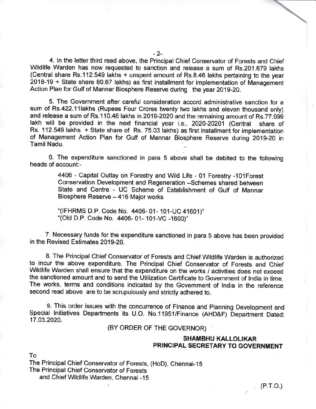4. ln the letter third read above, the Principal Chief Conservator of Forests and Chief Wildlife Warden has now requested to sanction and release a sum of Rs.201.679 lakhs (Central share Rs.112.549 lakhs + unspent amount of Rs.8.46 lakhs pertaining to the year 2018-19 + State share 80.67 Iakhs) as first installment for implementation of Management Action Plan for Gulf of Mannar Biosphere Reserve during the year 2019-20.

5. The Government after careful consideration accord administrative sanction for a sum of Rs.422.11lakhs (Rupees Four Crores twenty two lakhs and eleven thousand only) and release a sum of Rs.110.48 lakhs in 2019-2020 and the remaining amount of Rs.77.099 lakh will be provided in the next financial year i.e., 2020-20201 (Central share of Rs. 112.549 lakhs + State share of Rs. 75.03 lakhs) as first installment for implementation of Management Action Plan for Gulf of Mannar Biosphere Reserve during 2O1g-20 in Tamil Nadu.

6. The expenditure sanctioned in para 5 above shall be debited to the following heads of account:-

> 4406 - Capital Outlay on Forestry and Wild Life - 01 Forestry -101Forest Conservation Development and Regeneration -Schemes shared between State and Centre - UC Scheme of Establishment of Gulf of Mannar Biosphere Reserve - 416 Major works

'(IFHRMS D.P. Code No. 4406- 01- 101-UC 41601)" "(Old D.P. Code No. 4406- 01- 101-VC -1600)"

7. Necessary funds for the expenditure sanctioned in para 5 above has been provided in the Revised Estimates 2019-20.

8. The Principal Chief Conservator of Forests and Chief Wildlife Warden is authorized to incur the above expenditure. The Principal Chief Conservator of Forests and Chief Wildlife Warden shall ensure that the expenditure on the works / activities does not exceed the sanctioned amount and to send the Utilization Certificate to Government of India in time. The works, terms and conditions indicated by the Government of lndia in the reference second read above are to be scrupulously and stricfly adhered to.

9. This order issues with the concurrence of Finance and Planning Development and Special lnitiatives Departments its U.O. No.11951/Finance (AHD&F) bepartment Dated: 17.03.2020.

(BY ORDER OF THE GOVERNOR)

# SHAMBHU KALLOLIKAR PRINCIPAL SEGRETARY TO GOVERNMENT

To

The Principal Chief Conservator of Forests, (HoD), Chennai-15 The Principal Chief Conservator of Forests and Chief Wildlife Warden, Chennai -15

 $\overline{a}$